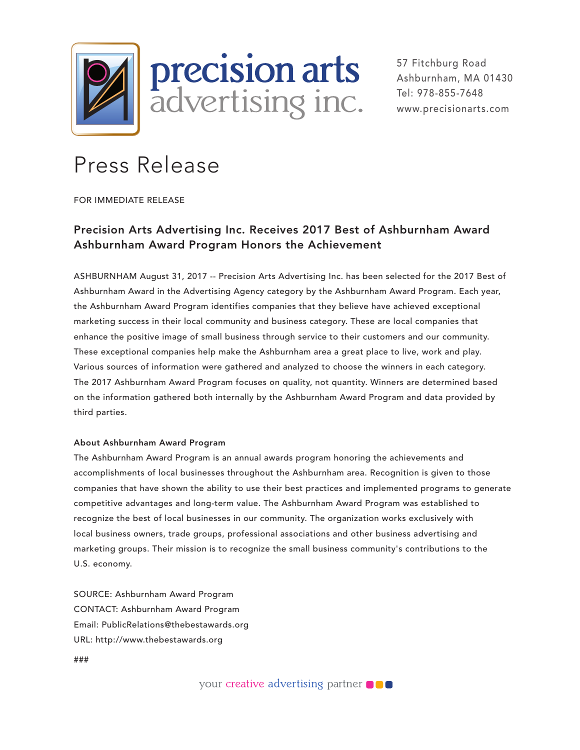

57 Fitchburg Road Ashburnham, MA 01430 Tel: 978-855-7648 www.precisionarts.com

## Press Release

FOR IMMEDIATE RELEASE

## Precision Arts Advertising Inc. Receives 2017 Best of Ashburnham Award Ashburnham Award Program Honors the Achievement

ASHBURNHAM August 31, 2017 -- Precision Arts Advertising Inc. has been selected for the 2017 Best of Ashburnham Award in the Advertising Agency category by the Ashburnham Award Program. Each year, the Ashburnham Award Program identifies companies that they believe have achieved exceptional marketing success in their local community and business category. These are local companies that enhance the positive image of small business through service to their customers and our community. These exceptional companies help make the Ashburnham area a great place to live, work and play. Various sources of information were gathered and analyzed to choose the winners in each category. The 2017 Ashburnham Award Program focuses on quality, not quantity. Winners are determined based on the information gathered both internally by the Ashburnham Award Program and data provided by third parties.

## About Ashburnham Award Program

The Ashburnham Award Program is an annual awards program honoring the achievements and accomplishments of local businesses throughout the Ashburnham area. Recognition is given to those companies that have shown the ability to use their best practices and implemented programs to generate competitive advantages and long-term value. The Ashburnham Award Program was established to recognize the best of local businesses in our community. The organization works exclusively with local business owners, trade groups, professional associations and other business advertising and marketing groups. Their mission is to recognize the small business community's contributions to the U.S. economy.

SOURCE: Ashburnham Award Program CONTACT: Ashburnham Award Program Email: PublicRelations@thebestawards.org URL: http://www.thebestawards.org

###